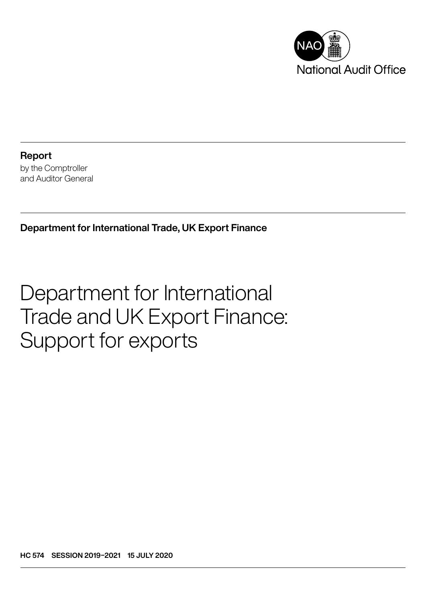

Report by the Comptroller and Auditor General

Department for International Trade, UK Export Finance

# Department for International Trade and UK Export Finance: Support for exports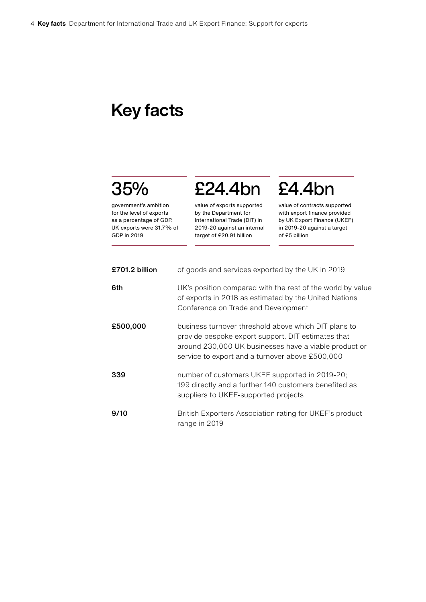## Key facts

## 35%

government's ambition for the level of exports as a percentage of GDP. UK exports were 31.7% of GDP in 2019

value of exports supported by the Department for International Trade (DIT) in 2019-20 against an internal target of £20.91 billion

£24.4bn

# £4.4bn

value of contracts supported with export finance provided by UK Export Finance (UKEF) in 2019-20 against a target of £5 billion

| £701.2 billion | of goods and services exported by the UK in 2019                                                                                                                                                                       |
|----------------|------------------------------------------------------------------------------------------------------------------------------------------------------------------------------------------------------------------------|
| 6th            | UK's position compared with the rest of the world by value<br>of exports in 2018 as estimated by the United Nations<br>Conference on Trade and Development                                                             |
| £500,000       | business turnover threshold above which DIT plans to<br>provide bespoke export support. DIT estimates that<br>around 230,000 UK businesses have a viable product or<br>service to export and a turnover above £500,000 |
| 339            | number of customers UKEF supported in 2019-20;<br>199 directly and a further 140 customers benefited as<br>suppliers to UKEF-supported projects                                                                        |
| 9/10           | British Exporters Association rating for UKEF's product<br>range in 2019                                                                                                                                               |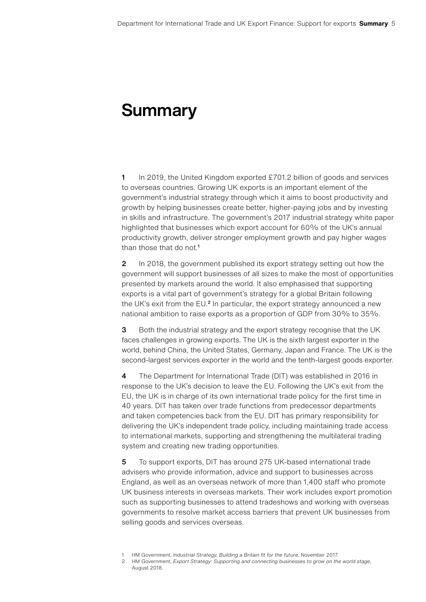## **Summary**

1 In 2019, the United Kingdom exported £701.2 billion of goods and services to overseas countries. Growing UK exports is an important element of the government's industrial strategy through which it aims to boost productivity and growth by helping businesses create better, higher-paying jobs and by investing in skills and infrastructure. The government's 2017 industrial strategy white paper highlighted that businesses which export account for 60% of the UK's annual productivity growth, deliver stronger employment growth and pay higher wages than those that do not.<sup>1</sup>

2 In 2018, the government published its export strategy setting out how the government will support businesses of all sizes to make the most of opportunities presented by markets around the world. It also emphasised that supporting exports is a vital part of government's strategy for a global Britain following the UK's exit from the EU.<sup>2</sup> In particular, the export strategy announced a new national ambition to raise exports as a proportion of GDP from 30% to 35%.

**3** Both the industrial strategy and the export strategy recognise that the UK faces challenges in growing exports. The UK is the sixth largest exporter in the world, behind China, the United States, Germany, Japan and France. The UK is the second-largest services exporter in the world and the tenth-largest goods exporter.

4 The Department for International Trade (DIT) was established in 2016 in response to the UK's decision to leave the EU. Following the UK's exit from the EU, the UK is in charge of its own international trade policy for the first time in 40 years. DIT has taken over trade functions from predecessor departments and taken competencies back from the EU. DIT has primary responsibility for delivering the UK's independent trade policy, including maintaining trade access to international markets, supporting and strengthening the multilateral trading system and creating new trading opportunities.

5 To support exports, DIT has around 275 UK-based international trade advisers who provide information, advice and support to businesses across England, as well as an overseas network of more than 1,400 staff who promote UK business interests in overseas markets. Their work includes export promotion such as supporting businesses to attend tradeshows and working with overseas governments to resolve market access barriers that prevent UK businesses from selling goods and services overseas.

<sup>1</sup> HM Government, *Industrial Strategy, Building a Britain fit for the future*, November 2017.

<sup>2</sup> HM Government, *Export Strategy: [Supporting and connecting businesses to grow on the world stage](https://assets.publishing.service.gov.uk/government/uploads/system/uploads/attachment_data/file/737201/HMG_Export_Strategy.pdf)*, [August 2018](https://assets.publishing.service.gov.uk/government/uploads/system/uploads/attachment_data/file/737201/HMG_Export_Strategy.pdf).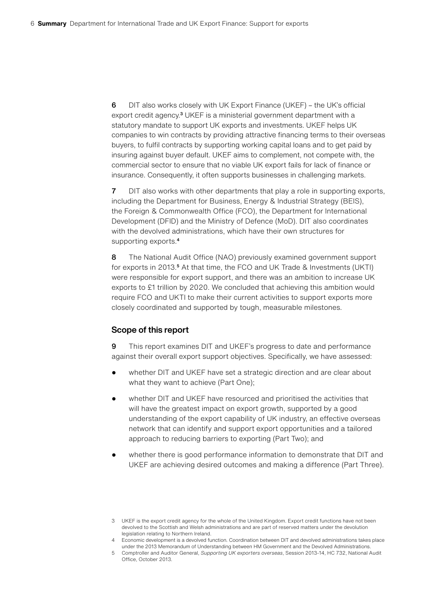6 DIT also works closely with UK Export Finance (UKEF) – the UK's official export credit agency.<sup>3</sup> UKEF is a ministerial government department with a statutory mandate to support UK exports and investments. UKEF helps UK companies to win contracts by providing attractive financing terms to their overseas buyers, to fulfil contracts by supporting working capital loans and to get paid by insuring against buyer default. UKEF aims to complement, not compete with, the commercial sector to ensure that no viable UK export fails for lack of finance or insurance. Consequently, it often supports businesses in challenging markets.

7 DIT also works with other departments that play a role in supporting exports, including the Department for Business, Energy & Industrial Strategy (BEIS), the Foreign & Commonwealth Office (FCO), the Department for International Development (DFID) and the Ministry of Defence (MoD). DIT also coordinates with the devolved administrations, which have their own structures for supporting exports.<sup>4</sup>

8 The National Audit Office (NAO) previously examined government support for exports in 2013.<sup>5</sup> At that time, the FCO and UK Trade & Investments (UKTI) were responsible for export support, and there was an ambition to increase UK exports to £1 trillion by 2020. We concluded that achieving this ambition would require FCO and UKTI to make their current activities to support exports more closely coordinated and supported by tough, measurable milestones.

#### Scope of this report

9 This report examines DIT and UKEF's progress to date and performance against their overall export support objectives. Specifically, we have assessed:

- whether DIT and UKEF have set a strategic direction and are clear about what they want to achieve (Part One);
- whether DIT and UKEF have resourced and prioritised the activities that will have the greatest impact on export growth, supported by a good understanding of the export capability of UK industry, an effective overseas network that can identify and support export opportunities and a tailored approach to reducing barriers to exporting (Part Two); and
- whether there is good performance information to demonstrate that DIT and UKEF are achieving desired outcomes and making a difference (Part Three).

<sup>3</sup> UKEF is the export credit agency for the whole of the United Kingdom. Export credit functions have not been devolved to the Scottish and Welsh administrations and are part of reserved matters under the devolution legislation relating to Northern Ireland.

<sup>4</sup> Economic development is a devolved function. Coordination between DIT and devolved administrations takes place under the 2013 Memorandum of Understanding between HM Government and the Devolved Administrations.

<sup>5</sup> Comptroller and Auditor General, *Supporting UK exporters overseas*, Session 2013-14, HC 732, National Audit Office, October 2013.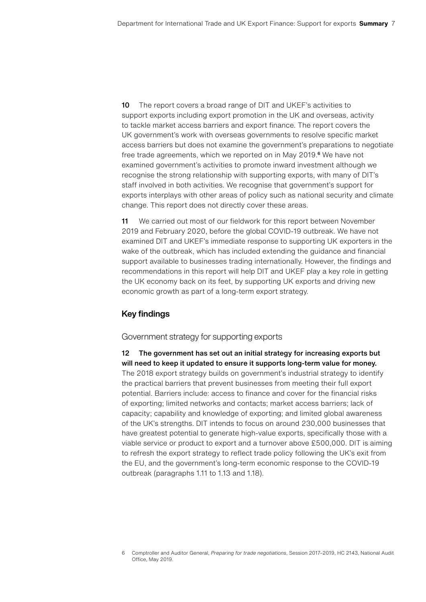10 The report covers a broad range of DIT and UKEF's activities to support exports including export promotion in the UK and overseas, activity to tackle market access barriers and export finance. The report covers the UK government's work with overseas governments to resolve specific market access barriers but does not examine the government's preparations to negotiate free trade agreements, which we reported on in May 2019.<sup>6</sup> We have not examined government's activities to promote inward investment although we recognise the strong relationship with supporting exports, with many of DIT's staff involved in both activities. We recognise that government's support for exports interplays with other areas of policy such as national security and climate change. This report does not directly cover these areas.

11 We carried out most of our fieldwork for this report between November 2019 and February 2020, before the global COVID-19 outbreak. We have not examined DIT and UKEF's immediate response to supporting UK exporters in the wake of the outbreak, which has included extending the guidance and financial support available to businesses trading internationally. However, the findings and recommendations in this report will help DIT and UKEF play a key role in getting the UK economy back on its feet, by supporting UK exports and driving new economic growth as part of a long-term export strategy.

#### Key findings

#### Government strategy for supporting exports

12 The government has set out an initial strategy for increasing exports but will need to keep it updated to ensure it supports long-term value for money. The 2018 export strategy builds on government's industrial strategy to identify the practical barriers that prevent businesses from meeting their full export potential. Barriers include: access to finance and cover for the financial risks of exporting; limited networks and contacts; market access barriers; lack of capacity; capability and knowledge of exporting; and limited global awareness of the UK's strengths. DIT intends to focus on around 230,000 businesses that have greatest potential to generate high-value exports, specifically those with a viable service or product to export and a turnover above £500,000. DIT is aiming to refresh the export strategy to reflect trade policy following the UK's exit from the EU, and the government's long-term economic response to the COVID-19 outbreak (paragraphs 1.11 to 1.13 and 1.18).

<sup>6</sup> Comptroller and Auditor General, *Preparing for trade negotiations*, Session 2017–2019, HC 2143, National Audit Office, May 2019.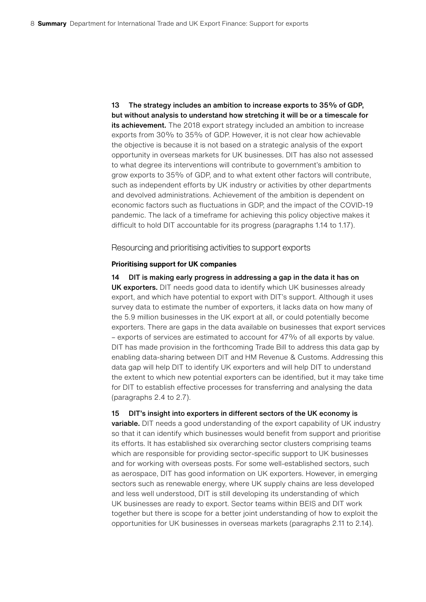13 The strategy includes an ambition to increase exports to 35% of GDP, but without analysis to understand how stretching it will be or a timescale for its achievement. The 2018 export strategy included an ambition to increase exports from 30% to 35% of GDP. However, it is not clear how achievable the objective is because it is not based on a strategic analysis of the export opportunity in overseas markets for UK businesses. DIT has also not assessed to what degree its interventions will contribute to government's ambition to grow exports to 35% of GDP, and to what extent other factors will contribute, such as independent efforts by UK industry or activities by other departments and devolved administrations. Achievement of the ambition is dependent on economic factors such as fluctuations in GDP, and the impact of the COVID-19 pandemic. The lack of a timeframe for achieving this policy objective makes it difficult to hold DIT accountable for its progress (paragraphs 1.14 to 1.17).

Resourcing and prioritising activities to support exports

#### **Prioritising support for UK companies**

14 DIT is making early progress in addressing a gap in the data it has on UK exporters. DIT needs good data to identify which UK businesses already export, and which have potential to export with DIT's support. Although it uses survey data to estimate the number of exporters, it lacks data on how many of the 5.9 million businesses in the UK export at all, or could potentially become exporters. There are gaps in the data available on businesses that export services – exports of services are estimated to account for 47% of all exports by value. DIT has made provision in the forthcoming Trade Bill to address this data gap by enabling data-sharing between DIT and HM Revenue & Customs. Addressing this data gap will help DIT to identify UK exporters and will help DIT to understand the extent to which new potential exporters can be identified, but it may take time for DIT to establish effective processes for transferring and analysing the data (paragraphs 2.4 to 2.7).

#### 15 DIT's insight into exporters in different sectors of the UK economy is

variable. DIT needs a good understanding of the export capability of UK industry so that it can identify which businesses would benefit from support and prioritise its efforts. It has established six overarching sector clusters comprising teams which are responsible for providing sector-specific support to UK businesses and for working with overseas posts. For some well-established sectors, such as aerospace, DIT has good information on UK exporters. However, in emerging sectors such as renewable energy, where UK supply chains are less developed and less well understood, DIT is still developing its understanding of which UK businesses are ready to export. Sector teams within BEIS and DIT work together but there is scope for a better joint understanding of how to exploit the opportunities for UK businesses in overseas markets (paragraphs 2.11 to 2.14).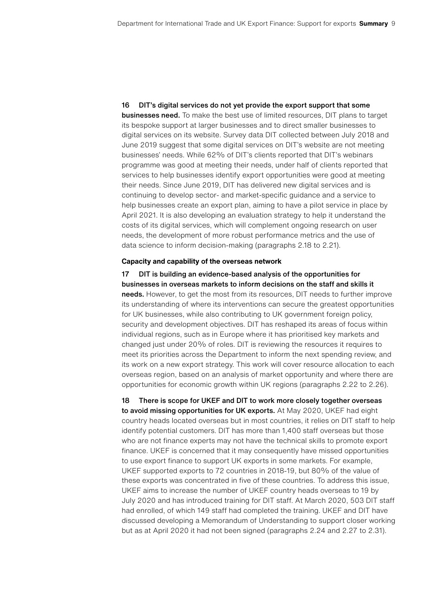16 DIT's digital services do not yet provide the export support that some **businesses need.** To make the best use of limited resources, DIT plans to target its bespoke support at larger businesses and to direct smaller businesses to digital services on its website. Survey data DIT collected between July 2018 and June 2019 suggest that some digital services on DIT's website are not meeting businesses' needs. While 62% of DIT's clients reported that DIT's webinars programme was good at meeting their needs, under half of clients reported that services to help businesses identify export opportunities were good at meeting their needs. Since June 2019, DIT has delivered new digital services and is continuing to develop sector- and market-specific guidance and a service to help businesses create an export plan, aiming to have a pilot service in place by April 2021. It is also developing an evaluation strategy to help it understand the costs of its digital services, which will complement ongoing research on user needs, the development of more robust performance metrics and the use of data science to inform decision-making (paragraphs 2.18 to 2.21).

#### **Capacity and capability of the overseas network**

17 DIT is building an evidence-based analysis of the opportunities for businesses in overseas markets to inform decisions on the staff and skills it needs. However, to get the most from its resources, DIT needs to further improve its understanding of where its interventions can secure the greatest opportunities for UK businesses, while also contributing to UK government foreign policy, security and development objectives. DIT has reshaped its areas of focus within individual regions, such as in Europe where it has prioritised key markets and changed just under 20% of roles. DIT is reviewing the resources it requires to meet its priorities across the Department to inform the next spending review, and its work on a new export strategy. This work will cover resource allocation to each overseas region, based on an analysis of market opportunity and where there are opportunities for economic growth within UK regions (paragraphs 2.22 to 2.26).

18 There is scope for UKEF and DIT to work more closely together overseas to avoid missing opportunities for UK exports. At May 2020, UKEF had eight country heads located overseas but in most countries, it relies on DIT staff to help identify potential customers. DIT has more than 1,400 staff overseas but those who are not finance experts may not have the technical skills to promote export finance. UKEF is concerned that it may consequently have missed opportunities to use export finance to support UK exports in some markets. For example, UKEF supported exports to 72 countries in 2018-19, but 80% of the value of these exports was concentrated in five of these countries. To address this issue, UKEF aims to increase the number of UKEF country heads overseas to 19 by July 2020 and has introduced training for DIT staff. At March 2020, 503 DIT staff had enrolled, of which 149 staff had completed the training. UKEF and DIT have discussed developing a Memorandum of Understanding to support closer working but as at April 2020 it had not been signed (paragraphs 2.24 and 2.27 to 2.31).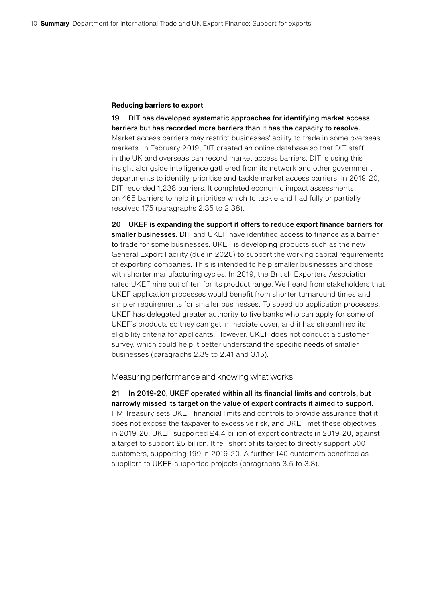#### **Reducing barriers to export**

19 DIT has developed systematic approaches for identifying market access barriers but has recorded more barriers than it has the capacity to resolve. Market access barriers may restrict businesses' ability to trade in some overseas markets. In February 2019, DIT created an online database so that DIT staff in the UK and overseas can record market access barriers. DIT is using this insight alongside intelligence gathered from its network and other government departments to identify, prioritise and tackle market access barriers. In 2019-20, DIT recorded 1,238 barriers. It completed economic impact assessments on 465 barriers to help it prioritise which to tackle and had fully or partially resolved 175 (paragraphs 2.35 to 2.38).

20 UKEF is expanding the support it offers to reduce export finance barriers for smaller businesses. DIT and UKEF have identified access to finance as a barrier to trade for some businesses. UKEF is developing products such as the new General Export Facility (due in 2020) to support the working capital requirements of exporting companies. This is intended to help smaller businesses and those with shorter manufacturing cycles. In 2019, the British Exporters Association rated UKEF nine out of ten for its product range. We heard from stakeholders that UKEF application processes would benefit from shorter turnaround times and simpler requirements for smaller businesses. To speed up application processes, UKEF has delegated greater authority to five banks who can apply for some of UKEF's products so they can get immediate cover, and it has streamlined its eligibility criteria for applicants. However, UKEF does not conduct a customer survey, which could help it better understand the specific needs of smaller businesses (paragraphs 2.39 to 2.41 and 3.15).

Measuring performance and knowing what works

21 In 2019-20, UKEF operated within all its financial limits and controls, but narrowly missed its target on the value of export contracts it aimed to support. HM Treasury sets UKEF financial limits and controls to provide assurance that it does not expose the taxpayer to excessive risk, and UKEF met these objectives in 2019-20. UKEF supported £4.4 billion of export contracts in 2019-20, against a target to support £5 billion. It fell short of its target to directly support 500 customers, supporting 199 in 2019-20. A further 140 customers benefited as suppliers to UKEF-supported projects (paragraphs 3.5 to 3.8).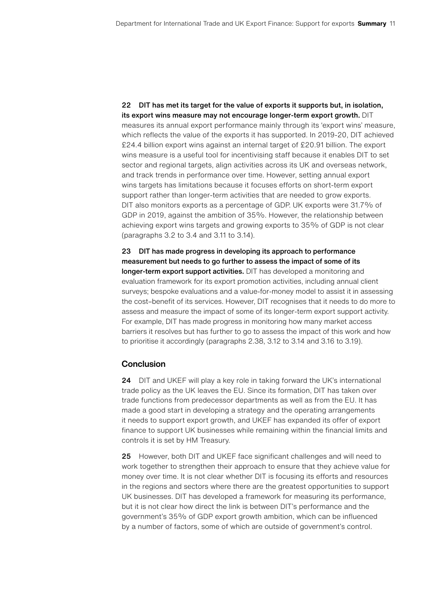22 DIT has met its target for the value of exports it supports but, in isolation, its export wins measure may not encourage longer-term export growth. DIT measures its annual export performance mainly through its 'export wins' measure, which reflects the value of the exports it has supported. In 2019-20, DIT achieved £24.4 billion export wins against an internal target of £20.91 billion. The export wins measure is a useful tool for incentivising staff because it enables DIT to set sector and regional targets, align activities across its UK and overseas network, and track trends in performance over time. However, setting annual export wins targets has limitations because it focuses efforts on short-term export support rather than longer-term activities that are needed to grow exports. DIT also monitors exports as a percentage of GDP. UK exports were 31.7% of GDP in 2019, against the ambition of 35%. However, the relationship between achieving export wins targets and growing exports to 35% of GDP is not clear (paragraphs 3.2 to 3.4 and 3.11 to 3.14).

23 DIT has made progress in developing its approach to performance measurement but needs to go further to assess the impact of some of its longer-term export support activities. DIT has developed a monitoring and evaluation framework for its export promotion activities, including annual client surveys; bespoke evaluations and a value-for-money model to assist it in assessing the cost–benefit of its services. However, DIT recognises that it needs to do more to assess and measure the impact of some of its longer-term export support activity. For example, DIT has made progress in monitoring how many market access barriers it resolves but has further to go to assess the impact of this work and how to prioritise it accordingly (paragraphs 2.38, 3.12 to 3.14 and 3.16 to 3.19).

#### **Conclusion**

24 DIT and UKEF will play a key role in taking forward the UK's international trade policy as the UK leaves the EU. Since its formation, DIT has taken over trade functions from predecessor departments as well as from the EU. It has made a good start in developing a strategy and the operating arrangements it needs to support export growth, and UKEF has expanded its offer of export finance to support UK businesses while remaining within the financial limits and controls it is set by HM Treasury.

25 However, both DIT and UKEF face significant challenges and will need to work together to strengthen their approach to ensure that they achieve value for money over time. It is not clear whether DIT is focusing its efforts and resources in the regions and sectors where there are the greatest opportunities to support UK businesses. DIT has developed a framework for measuring its performance, but it is not clear how direct the link is between DIT's performance and the government's 35% of GDP export growth ambition, which can be influenced by a number of factors, some of which are outside of government's control.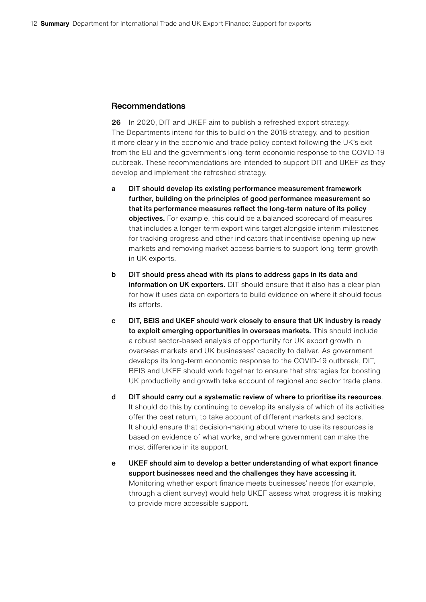#### Recommendations

26 In 2020, DIT and UKEF aim to publish a refreshed export strategy. The Departments intend for this to build on the 2018 strategy, and to position it more clearly in the economic and trade policy context following the UK's exit from the EU and the government's long-term economic response to the COVID-19 outbreak. These recommendations are intended to support DIT and UKEF as they develop and implement the refreshed strategy.

- a DIT should develop its existing performance measurement framework further, building on the principles of good performance measurement so that its performance measures reflect the long-term nature of its policy objectives. For example, this could be a balanced scorecard of measures that includes a longer-term export wins target alongside interim milestones for tracking progress and other indicators that incentivise opening up new markets and removing market access barriers to support long-term growth in UK exports.
- b DIT should press ahead with its plans to address gaps in its data and information on UK exporters. DIT should ensure that it also has a clear plan for how it uses data on exporters to build evidence on where it should focus its efforts.
- c DIT, BEIS and UKEF should work closely to ensure that UK industry is ready to exploit emerging opportunities in overseas markets. This should include a robust sector-based analysis of opportunity for UK export growth in overseas markets and UK businesses' capacity to deliver. As government develops its long-term economic response to the COVID-19 outbreak, DIT, BEIS and UKEF should work together to ensure that strategies for boosting UK productivity and growth take account of regional and sector trade plans.
- d DIT should carry out a systematic review of where to prioritise its resources. It should do this by continuing to develop its analysis of which of its activities offer the best return, to take account of different markets and sectors. It should ensure that decision-making about where to use its resources is based on evidence of what works, and where government can make the most difference in its support.
- e UKEF should aim to develop a better understanding of what export finance support businesses need and the challenges they have accessing it. Monitoring whether export finance meets businesses' needs (for example, through a client survey) would help UKEF assess what progress it is making to provide more accessible support.